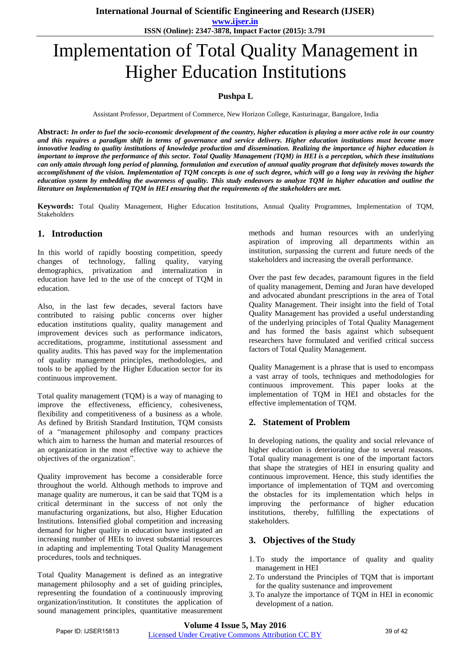**www.ijser.in ISSN (Online): 2347-3878, Impact Factor (2015): 3.791**

# Implementation of Total Quality Management in Higher Education Institutions

## **Pushpa L**

Assistant Professor, Department of Commerce, New Horizon College, Kasturinagar, Bangalore, India

**Abstract:** *In order to fuel the socio-economic development of the country, higher education is playing a more active role in our country and this requires a paradigm shift in terms of governance and service delivery. Higher education institutions must become more innovative leading to quality institutions of knowledge production and dissemination. Realizing the importance of higher education is important to improve the performance of this sector. Total Quality Management (TQM) in HEI is a perception, which these institutions can only attain through long period of planning, formulation and execution of annual quality program that definitely moves towards the accomplishment of the vision. Implementation of TQM concepts is one of such degree, which will go a long way in reviving the higher education system by embedding the awareness of quality. This study endeavors to analyze TQM in higher education and outline the literature on Implementation of TQM in HEI ensuring that the requirements of the stakeholders are met.*

**Keywords:** Total Quality Management, Higher Education Institutions, Annual Quality Programmes, Implementation of TQM, Stakeholders

## **1. Introduction**

In this world of rapidly boosting competition, speedy changes of technology, falling quality, varying demographics, privatization and internalization in education have led to the use of the concept of TQM in education.

Also, in the last few decades, several factors have contributed to raising public concerns over higher education institutions quality, quality management and improvement devices such as performance indicators, accreditations, programme, institutional assessment and quality audits. This has paved way for the implementation of quality management principles, methodologies, and tools to be applied by the Higher Education sector for its continuous improvement.

Total quality management (TQM) is a way of managing to improve the effectiveness, efficiency, cohesiveness, flexibility and competitiveness of a business as a whole. As defined by British Standard Institution, TQM consists of a "management philosophy and company practices which aim to harness the human and material resources of an organization in the most effective way to achieve the objectives of the organization".

Quality improvement has become a considerable force throughout the world. Although methods to improve and manage quality are numerous, it can be said that TQM is a critical determinant in the success of not only the manufacturing organizations, but also, Higher Education Institutions. Intensified global competition and increasing demand for higher quality in education have instigated an increasing number of HEIs to invest substantial resources in adapting and implementing Total Quality Management procedures, tools and techniques.

Total Quality Management is defined as an integrative management philosophy and a set of guiding principles, representing the foundation of a continuously improving organization/institution. It constitutes the application of sound management principles, quantitative measurement methods and human resources with an underlying aspiration of improving all departments within an institution, surpassing the current and future needs of the stakeholders and increasing the overall performance.

Over the past few decades, paramount figures in the field of quality management, Deming and Juran have developed and advocated abundant prescriptions in the area of Total Quality Management. Their insight into the field of Total Quality Management has provided a useful understanding of the underlying principles of Total Quality Management and has formed the basis against which subsequent researchers have formulated and verified critical success factors of Total Quality Management.

Quality Management is a phrase that is used to encompass a vast array of tools, techniques and methodologies for continuous improvement. This paper looks at the implementation of TQM in HEI and obstacles for the effective implementation of TQM.

## **2. Statement of Problem**

In developing nations, the quality and social relevance of higher education is deteriorating due to several reasons. Total quality management is one of the important factors that shape the strategies of HEI in ensuring quality and continuous improvement. Hence, this study identifies the importance of implementation of TQM and overcoming the obstacles for its implementation which helps in improving the performance of higher education institutions, thereby, fulfilling the expectations of stakeholders.

## **3. Objectives of the Study**

- 1.To study the importance of quality and quality management in HEI
- 2.To understand the Principles of TQM that is important for the quality sustenance and improvement
- 3.To analyze the importance of TQM in HEI in economic development of a nation.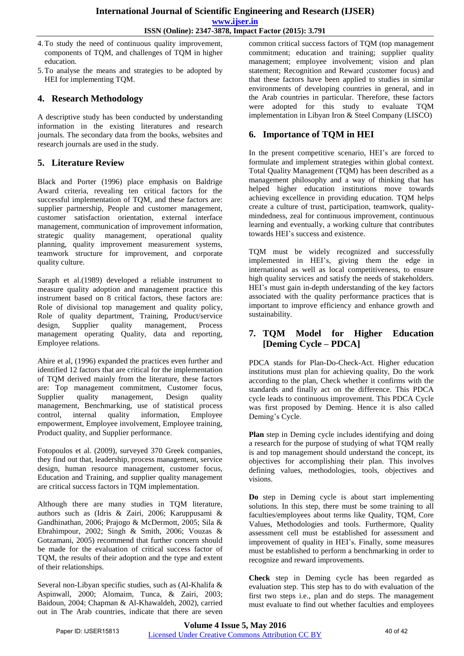- 4.To study the need of continuous quality improvement, components of TQM, and challenges of TQM in higher education.
- 5.To analyse the means and strategies to be adopted by HEI for implementing TQM.

## **4. Research Methodology**

A descriptive study has been conducted by understanding information in the existing literatures and research journals. The secondary data from the books, websites and research journals are used in the study.

## **5. Literature Review**

Black and Porter (1996) place emphasis on Baldrige Award criteria, revealing ten critical factors for the successful implementation of TQM, and these factors are: supplier partnership, People and customer management, customer satisfaction orientation, external interface management, communication of improvement information, strategic quality management, operational quality planning, quality improvement measurement systems, teamwork structure for improvement, and corporate quality culture.

Saraph et al.(1989) developed a reliable instrument to measure quality adoption and management practice this instrument based on 8 critical factors, these factors are: Role of divisional top management and quality policy, Role of quality department, Training, Product/service design, Supplier quality management, Process management operating Quality, data and reporting, Employee relations.

Ahire et al, (1996) expanded the practices even further and identified 12 factors that are critical for the implementation of TQM derived mainly from the literature, these factors are: Top management commitment, Customer focus, Supplier quality management, Design quality management, Benchmarking, use of statistical process control, internal quality information, Employee empowerment, Employee involvement, Employee training, Product quality, and Supplier performance.

Fotopoulos et al. (2009), surveyed 370 Greek companies, they find out that, leadership, process management, service design, human resource management, customer focus, Education and Training, and supplier quality management are critical success factors in TQM implementation.

Although there are many studies in TQM literature, authors such as (Idris & Zairi, 2006; Karuppusami & Gandhinathan, 2006; Prajogo & McDermott, 2005; Sila & Ebrahimpour, 2002; Singh & Smith, 2006; Vouzas & Gotzamani, 2005) recommend that further concern should be made for the evaluation of critical success factor of TQM, the results of their adoption and the type and extent of their relationships.

Several non-Libyan specific studies, such as (Al-Khalifa & Aspinwall, 2000; Alomaim, Tunca, & Zairi, 2003; Baidoun, 2004; Chapman & Al-Khawaldeh, 2002), carried out in The Arab countries, indicate that there are seven common critical success factors of TQM (top management commitment; education and training; supplier quality management; employee involvement; vision and plan statement; Recognition and Reward ;customer focus) and that these factors have been applied to studies in similar environments of developing countries in general, and in the Arab countries in particular. Therefore, these factors were adopted for this study to evaluate TQM implementation in Libyan Iron & Steel Company (LISCO)

# **6. Importance of TQM in HEI**

In the present competitive scenario, HEI's are forced to formulate and implement strategies within global context. Total Quality Management (TQM) has been described as a management philosophy and a way of thinking that has helped higher education institutions move towards achieving excellence in providing education. TQM helps create a culture of trust, participation, teamwork, qualitymindedness, zeal for continuous improvement, continuous learning and eventually, a working culture that contributes towards HEI's success and existence.

TQM must be widely recognized and successfully implemented in HEI's, giving them the edge in international as well as local competitiveness, to ensure high quality services and satisfy the needs of stakeholders. HEI's must gain in-depth understanding of the key factors associated with the quality performance practices that is important to improve efficiency and enhance growth and sustainability.

# **7. TQM Model for Higher Education [Deming Cycle – PDCA]**

PDCA stands for Plan-Do-Check-Act. Higher education institutions must plan for achieving quality, Do the work according to the plan, Check whether it confirms with the standards and finally act on the difference. This PDCA cycle leads to continuous improvement. This PDCA Cycle was first proposed by Deming. Hence it is also called Deming's Cycle.

**Plan** step in Deming cycle includes identifying and doing a research for the purpose of studying of what TQM really is and top management should understand the concept, its objectives for accomplishing their plan. This involves defining values, methodologies, tools, objectives and visions.

**Do** step in Deming cycle is about start implementing solutions. In this step, there must be some training to all faculties/employees about terms like Quality, TQM, Core Values, Methodologies and tools. Furthermore, Quality assessment cell must be established for assessment and improvement of quality in HEI's. Finally, some measures must be established to perform a benchmarking in order to recognize and reward improvements.

**Check** step in Deming cycle has been regarded as evaluation step. This step has to do with evaluation of the first two steps i.e., plan and do steps. The management must evaluate to find out whether faculties and employees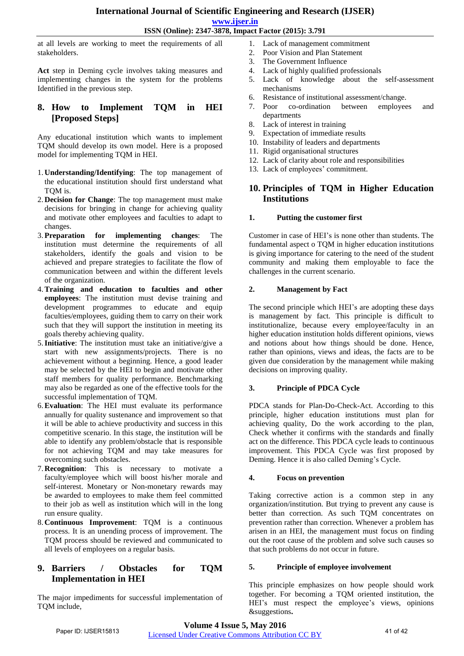**www.ijser.in**

**ISSN (Online): 2347-3878, Impact Factor (2015): 3.791**

at all levels are working to meet the requirements of all stakeholders.

**Act** step in Deming cycle involves taking measures and implementing changes in the system for the problems Identified in the previous step.

# **8. How to Implement TQM in HEI [Proposed Steps]**

Any educational institution which wants to implement TQM should develop its own model. Here is a proposed model for implementing TQM in HEI.

- 1. **Understanding/Identifying**: The top management of the educational institution should first understand what TQM is.
- 2. **Decision for Change**: The top management must make decisions for bringing in change for achieving quality and motivate other employees and faculties to adapt to changes.
- 3.**Preparation for implementing changes**: The institution must determine the requirements of all stakeholders, identify the goals and vision to be achieved and prepare strategies to facilitate the flow of communication between and within the different levels of the organization.
- 4.**Training and education to faculties and other employees**: The institution must devise training and development programmes to educate and equip faculties/employees, guiding them to carry on their work such that they will support the institution in meeting its goals thereby achieving quality.
- 5.**Initiative**: The institution must take an initiative/give a start with new assignments/projects. There is no achievement without a beginning. Hence, a good leader may be selected by the HEI to begin and motivate other staff members for quality performance. Benchmarking may also be regarded as one of the effective tools for the successful implementation of TQM.
- 6.**Evaluation**: The HEI must evaluate its performance annually for quality sustenance and improvement so that it will be able to achieve productivity and success in this competitive scenario. In this stage, the institution will be able to identify any problem/obstacle that is responsible for not achieving TQM and may take measures for overcoming such obstacles.
- 7. **Recognition**: This is necessary to motivate a faculty/employee which will boost his/her morale and self-interest. Monetary or Non-monetary rewards may be awarded to employees to make them feel committed to their job as well as institution which will in the long run ensure quality.
- 8. **Continuous Improvement**: TQM is a continuous process. It is an unending process of improvement. The TQM process should be reviewed and communicated to all levels of employees on a regular basis.

# **9. Barriers / Obstacles for TQM Implementation in HEI**

The major impediments for successful implementation of TQM include,

- 1. Lack of management commitment
- 2. Poor Vision and Plan Statement
- 3. The Government Influence
- 4. Lack of highly qualified professionals
- 5. Lack of knowledge about the self-assessment mechanisms
- 6. Resistance of institutional assessment/change.
- 7. Poor co-ordination between employees and departments
- 8. Lack of interest in training
- 9. Expectation of immediate results
- 10. Instability of leaders and departments
- 11. Rigid organisational structures
- 12. Lack of clarity about role and responsibilities
- 13. Lack of employees' commitment.

# **10. Principles of TQM in Higher Education Institutions**

# **1. Putting the customer first**

Customer in case of HEI's is none other than students. The fundamental aspect o TQM in higher education institutions is giving importance for catering to the need of the student community and making them employable to face the challenges in the current scenario.

# **2. Management by Fact**

The second principle which HEI's are adopting these days is management by fact. This principle is difficult to institutionalize, because every employee/faculty in an higher education institution holds different opinions, views and notions about how things should be done. Hence, rather than opinions, views and ideas, the facts are to be given due consideration by the management while making decisions on improving quality.

# **3. Principle of PDCA Cycle**

PDCA stands for Plan-Do-Check-Act. According to this principle, higher education institutions must plan for achieving quality, Do the work according to the plan, Check whether it confirms with the standards and finally act on the difference. This PDCA cycle leads to continuous improvement. This PDCA Cycle was first proposed by Deming. Hence it is also called Deming's Cycle.

# **4. Focus on prevention**

Taking corrective action is a common step in any organization/institution. But trying to prevent any cause is better than correction. As such TQM concentrates on prevention rather than correction. Whenever a problem has arisen in an HEI, the management must focus on finding out the root cause of the problem and solve such causes so that such problems do not occur in future.

# **5. Principle of employee involvement**

This principle emphasizes on how people should work together. For becoming a TQM oriented institution, the HEI's must respect the employee's views, opinions &suggestions**.**